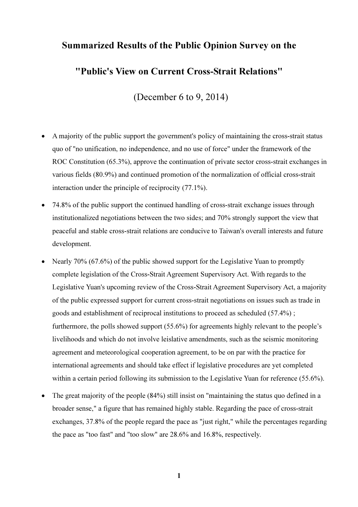# Summarized Results of the Public Opinion Survey on the

# "Public's View on Current Cross-Strait Relations"

(December 6 to 9, 2014)

- A majority of the public support the government's policy of maintaining the cross-strait status quo of "no unification, no independence, and no use of force" under the framework of the ROC Constitution (65.3%), approve the continuation of private sector cross-strait exchanges in various fields (80.9%) and continued promotion of the normalization of official cross-strait interaction under the principle of reciprocity (77.1%).
- 74.8% of the public support the continued handling of cross-strait exchange issues through institutionalized negotiations between the two sides; and 70% strongly support the view that peaceful and stable cross-strait relations are conducive to Taiwan's overall interests and future development.
- Nearly 70% (67.6%) of the public showed support for the Legislative Yuan to promptly complete legislation of the Cross-Strait Agreement Supervisory Act. With regards to the Legislative Yuan's upcoming review of the Cross-Strait Agreement Supervisory Act, a majority of the public expressed support for current cross-strait negotiations on issues such as trade in goods and establishment of reciprocal institutions to proceed as scheduled (57.4%) ; furthermore, the polls showed support (55.6%) for agreements highly relevant to the people's livelihoods and which do not involve leislative amendments, such as the seismic monitoring agreement and meteorological cooperation agreement, to be on par with the practice for international agreements and should take effect if legislative procedures are yet completed within a certain period following its submission to the Legislative Yuan for reference (55.6%).
- The great majority of the people (84%) still insist on "maintaining the status quo defined in a broader sense," a figure that has remained highly stable. Regarding the pace of cross-strait exchanges, 37.8% of the people regard the pace as "just right," while the percentages regarding the pace as "too fast" and "too slow" are 28.6% and 16.8%, respectively.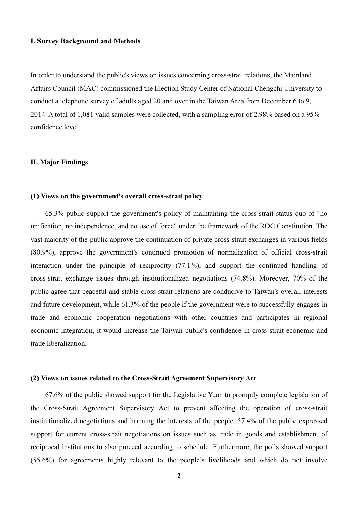## I. Survey Background and Methods

In order to understand the public's views on issues concerning cross-strait relations, the Mainland Affairs Council (MAC) commissioned the Election Study Center of National Chengchi University to conduct a telephone survey of adults aged 20 and over in the Taiwan Area from December 6 to 9, 2014. A total of 1,081 valid samples were collected, with a sampling error of 2.98% based on a 95% confidence level.

## II. Major Findings

#### (1) Views on the government's overall cross-strait policy

 65.3% public support the government's policy of maintaining the cross-strait status quo of "no unification, no independence, and no use of force" under the framework of the ROC Constitution. The vast majority of the public approve the continuation of private cross-strait exchanges in various fields (80.9%), approve the government's continued promotion of normalization of official cross-strait interaction under the principle of reciprocity (77.1%), and support the continued handling of cross-strait exchange issues through institutionalized negotiations (74.8%). Moreover, 70% of the public agree that peaceful and stable cross-strait relations are conducive to Taiwan's overall interests and future development, while 61.3% of the people if the government were to successfully engages in trade and economic cooperation negotiations with other countries and participates in regional economic integration, it would increase the Taiwan public's confidence in cross-strait economic and trade liberalization.

# (2) Views on issues related to the Cross-Strait Agreement Supervisory Act

 67.6% of the public showed support for the Legislative Yuan to promptly complete legislation of the Cross-Strait Agreement Supervisory Act to prevent affecting the operation of cross-strait institutionalized negotiations and harming the interests of the people. 57.4% of the public expressed support for current cross-strait negotiations on issues such as trade in goods and establishment of reciprocal institutions to also proceed according to schedule. Furthermore, the polls showed support (55.6%) for agreements highly relevant to the people's livelihoods and which do not involve